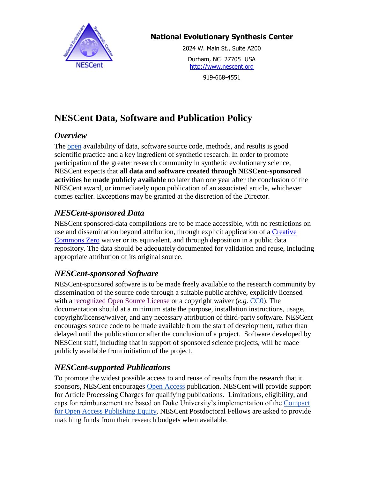

#### **National Evolutionary Synthesis Center**

2024 W. Main St., Suite A200 Durham, NC 27705 USA [http://www.nescent.org](http://www.nescent.org/)

919-668-4551

# **NESCent Data, Software and Publication Policy**

#### *Overview*

The [open](http://opendefinition.org/) availability of data, software source code, methods, and results is good scientific practice and a key ingredient of synthetic research. In order to promote participation of the greater research community in synthetic evolutionary science, NESCent expects that **all data and software created through NESCent-sponsored activities be made publicly available** no later than one year after the conclusion of the NESCent award, or immediately upon publication of an associated article, whichever comes earlier. Exceptions may be granted at the discretion of the Director.

#### *NESCent-sponsored Data*

NESCent sponsored-data compilations are to be made accessible, with no restrictions on use and dissemination beyond attribution, through explicit application of a [Creative](http://creativecommons.org/choose/zero/)  [Commons Zero](http://creativecommons.org/choose/zero/) waiver or its equivalent, and through deposition in a public data repository. The data should be adequately documented for validation and reuse, including appropriate attribution of its original source.

#### *NESCent-sponsored Software*

NESCent-sponsored software is to be made freely available to the research community by dissemination of the source code through a suitable public archive, explicitly licensed with a [recognized Open Source License](http://www.opensource.org/licenses/) or a copyright waiver (*e.g.* [CC0\)](http://creativecommons.org/publicdomain/zero/1.0/). The documentation should at a minimum state the purpose, installation instructions, usage, copyright/license/waiver, and any necessary attribution of third-party software. NESCent encourages source code to be made available from the start of development, rather than delayed until the publication or after the conclusion of a project. Software developed by NESCent staff, including that in support of sponsored science projects, will be made publicly available from initiation of the project.

### *NESCent-supported Publications*

To promote the widest possible access to and reuse of results from the research that it sponsors, NESCent encourages [Open Access](http://www.earlham.edu/~peters/fos/boaifaq.htm#openaccess) publication. NESCent will provide support for Article Processing Charges for qualifying publications. Limitations, eligibility, and caps for reimbursement are based on Duke University's implementation of the [Compact](http://library.duke.edu/openaccess/cope.html)  [for Open Access Publishing Equity.](http://library.duke.edu/openaccess/cope.html) NESCent Postdoctoral Fellows are asked to provide matching funds from their research budgets when available.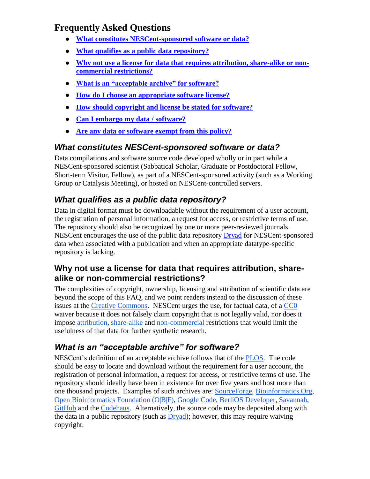# **Frequently Asked Questions**

- **● [What constitutes NESCent-sponsored software or data?](#page-1-0)**
- **● [What qualifies as a public data repository?](#page-1-1)**
- **● [Why not use a license for data that requires attribution, share-alike or non](#page-1-2)[commercial restrictions?](#page-1-2)**
- **● [What is an "acceptable archive" for software?](#page-1-3)**
- **● [How do I choose an appropriate software license?](#page-2-0)**
- **● [How should copyright and license be stated for software?](#page-2-1)**
- **● [Can I embargo my data / software?](#page-2-2)**
- **● [Are any data or software exempt from this policy?](#page-2-3)**

### <span id="page-1-0"></span>*What constitutes NESCent-sponsored software or data?*

Data compilations and software source code developed wholly or in part while a NESCent-sponsored scientist (Sabbatical Scholar, Graduate or Postdoctoral Fellow, Short-term Visitor, Fellow), as part of a NESCent-sponsored activity (such as a Working Group or Catalysis Meeting), or hosted on NESCent-controlled servers.

## <span id="page-1-1"></span>*What qualifies as a public data repository?*

Data in digital format must be downloadable without the requirement of a user account, the registration of personal information, a request for access, or restrictive terms of use. The repository should also be recognized by one or more peer-reviewed journals. NESCent encourages the use of the public data repository [Dryad](http://datadryad.org/) for NESCent-sponsored data when associated with a publication and when an appropriate datatype-specific repository is lacking.

#### <span id="page-1-2"></span>**Why not use a license for data that requires attribution, sharealike or non-commercial restrictions?**

The complexities of copyright, ownership, licensing and attribution of scientific data are beyond the scope of this FAQ, and we point readers instead to the discussion of these issues at the [Creative Commons.](http://www.google.com/url?q=http%3A%2F%2Fwiki.creativecommons.org%2FData&sa=D&sntz=1&usg=AFQjCNH4QfxW6KX1qlghYX0B9D4apZG_Yg) NESCent urges the use, for factual data, of a [CC0](http://www.google.com/url?q=http%3A%2F%2Fwiki.creativecommons.org%2FCC0_use_for_data&sa=D&sntz=1&usg=AFQjCNEF7jGKoy9VQwXItSAC6UlXK6381Q) waiver because it does not falsely claim copyright that is not legally valid, nor does it impose [attribution,](http://blog.datadryad.org/2011/10/05/why-does-dryad-use-cc0/) [share-alike](http://sciencecommons.org/projects/publishing/open-access-data-protocol/) and [non-commercial](http://www.pensoft.net/journals/zookeys/article/2189/creative-commons-licenses-and-the-non-commercial-condition-implications-for-the-re-use-of-biodiversity-information) restrictions that would limit the usefulness of that data for further synthetic research.

# <span id="page-1-3"></span>*What is an "acceptable archive" for software?*

NESCent's definition of an acceptable archive follows that of the [PLOS.](http://www.ploscompbiol.org/static/policies.action#sharing) The code should be easy to locate and download without the requirement for a user account, the registration of personal information, a request for access, or restrictive terms of use. The repository should ideally have been in existence for over five years and host more than one thousand projects. Examples of such archives are: [SourceForge,](http://sourceforge.net/) [Bioinformatics.Org,](http://www.bioinformatics.org/) [Open Bioinformatics Foundation \(O|B|F\),](http://www.open-bio.org/wiki/Main_Page) [Google Code,](http://code.google.com/) [BerliOS Developer,](http://developer.berlios.de/) [Savannah,](http://savannah.gnu.org/) [GitHub](https://github.com/) and the [Codehaus.](http://codehaus.org/) Alternatively, the source code may be deposited along with the data in a public repository (such as [Dryad\)](http://datadryad.org/); however, this may require waiving copyright.